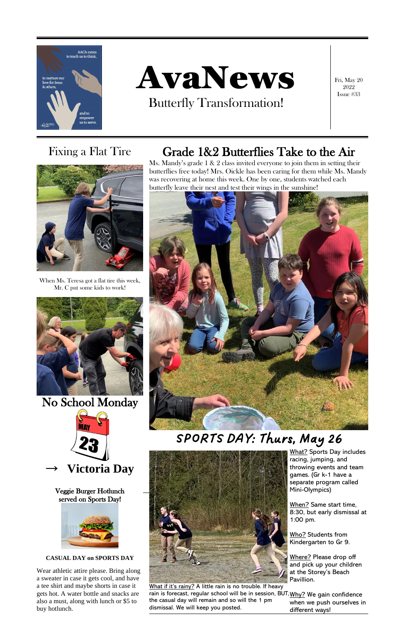

# AvaNews

Butterfly Transformation!

Fri, May 20 2022 Issue #33

Ms. Mandy's grade 1 & 2 class invited everyone to join them in setting their butterflies free today! Mrs. Oickle has been caring for them while Ms. Mandy was recovering at home this week. One by one, students watched each butterfly leave their nest and test their wings in the sunshine!



*SPORTS DAY: Thurs, May 26*



When Ms. Teresa got a flat tire this week, Mr. C put some kids to work!



No School Monday



### Fixing a Flat Tire Grade 1&2 Butterflies Take to the Air



Veggie Burger Hotlunch served on Sports Day!



#### **CASUAL DAY on SPORTS DAY**

Pavillion. Where? Please drop off and pick up your children at the Storey's Beach

What if it's rainy? A little rain is no trouble. If heavy rain is forecast, regular school will be in session, BUT, <u>Why?</u> We gain confidence the casual day will remain and so will the 1 pm dismissal. We will keep you posted. when we push ourselves in different ways!

Wear athletic attire please. Bring along a sweater in case it gets cool, and have a tee shirt and maybe shorts in case it gets hot. A water bottle and snacks are also a must, along with lunch or \$5 to buy hotlunch.



What? Sports Day includes racing, jumping, and throwing events and team games. (Gr k-1 have a separate program called Mini-Olympics)

When? Same start time, 8:30, but early dismissal at 1:00 pm.

Who? Students from Kindergarten to Gr 9.